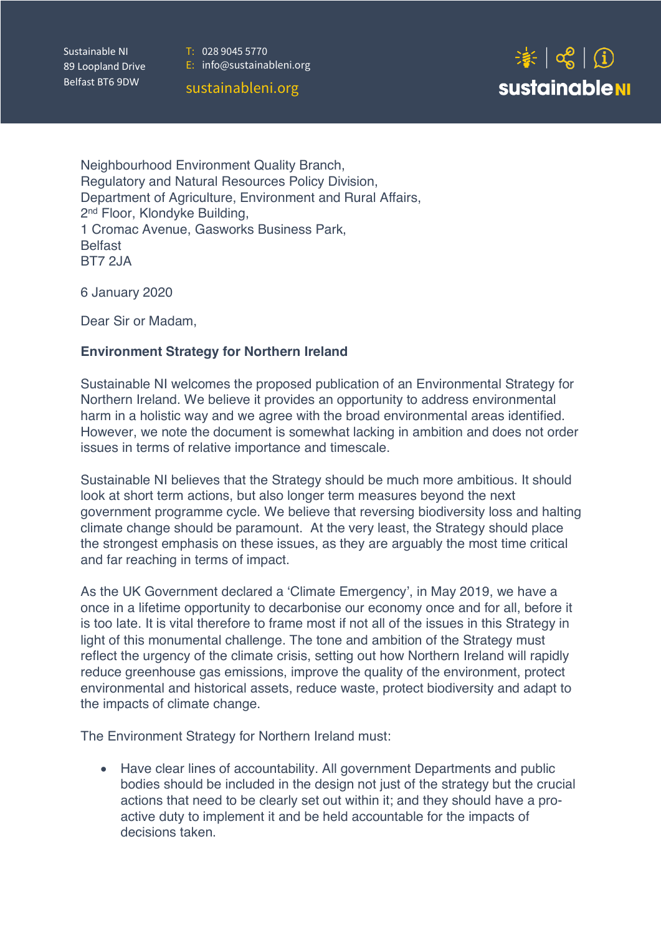T:028 9045 5770

Sustainable NI 89 Loopland Drive Belfast BT6 9DW

E:info@sustainableni.org

sustainableni.org



Neighbourhood Environment Quality Branch, Regulatory and Natural Resources Policy Division, Department of Agriculture, Environment and Rural Affairs, 2nd Floor, Klondyke Building, 1 Cromac Avenue, Gasworks Business Park, **Belfast** BT7 2JA

6 January 2020

Dear Sir or Madam,

#### **Environment Strategy for Northern Ireland**

Sustainable NI welcomes the proposed publication of an Environmental Strategy for Northern Ireland. We believe it provides an opportunity to address environmental harm in a holistic way and we agree with the broad environmental areas identified. However, we note the document is somewhat lacking in ambition and does not order issues in terms of relative importance and timescale.

Sustainable NI believes that the Strategy should be much more ambitious. It should look at short term actions, but also longer term measures beyond the next government programme cycle. We believe that reversing biodiversity loss and halting climate change should be paramount. At the very least, the Strategy should place the strongest emphasis on these issues, as they are arguably the most time critical and far reaching in terms of impact.

As the UK Government declared a 'Climate Emergency', in May 2019, we have a once in a lifetime opportunity to decarbonise our economy once and for all, before it is too late. It is vital therefore to frame most if not all of the issues in this Strategy in light of this monumental challenge. The tone and ambition of the Strategy must reflect the urgency of the climate crisis, setting out how Northern Ireland will rapidly reduce greenhouse gas emissions, improve the quality of the environment, protect environmental and historical assets, reduce waste, protect biodiversity and adapt to the impacts of climate change.

The Environment Strategy for Northern Ireland must:

• Have clear lines of accountability. All government Departments and public bodies should be included in the design not just of the strategy but the crucial actions that need to be clearly set out within it; and they should have a proactive duty to implement it and be held accountable for the impacts of decisions taken.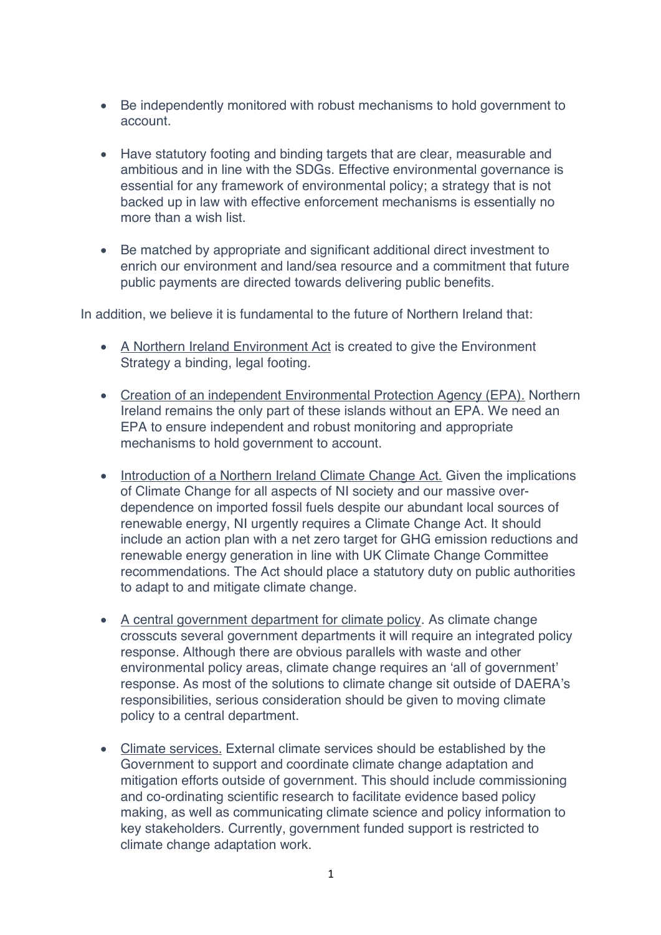- Be independently monitored with robust mechanisms to hold government to account.
- Have statutory footing and binding targets that are clear, measurable and ambitious and in line with the SDGs. Effective environmental governance is essential for any framework of environmental policy; a strategy that is not backed up in law with effective enforcement mechanisms is essentially no more than a wish list.
- Be matched by appropriate and significant additional direct investment to enrich our environment and land/sea resource and a commitment that future public payments are directed towards delivering public benefits.

In addition, we believe it is fundamental to the future of Northern Ireland that:

- A Northern Ireland Environment Act is created to give the Environment Strategy a binding, legal footing.
- Creation of an independent Environmental Protection Agency (EPA). Northern Ireland remains the only part of these islands without an EPA. We need an EPA to ensure independent and robust monitoring and appropriate mechanisms to hold government to account.
- Introduction of a Northern Ireland Climate Change Act. Given the implications of Climate Change for all aspects of NI society and our massive overdependence on imported fossil fuels despite our abundant local sources of renewable energy, NI urgently requires a Climate Change Act. It should include an action plan with a net zero target for GHG emission reductions and renewable energy generation in line with UK Climate Change Committee recommendations. The Act should place a statutory duty on public authorities to adapt to and mitigate climate change.
- A central government department for climate policy. As climate change crosscuts several government departments it will require an integrated policy response. Although there are obvious parallels with waste and other environmental policy areas, climate change requires an 'all of government' response. As most of the solutions to climate change sit outside of DAERA's responsibilities, serious consideration should be given to moving climate policy to a central department.
- Climate services. External climate services should be established by the Government to support and coordinate climate change adaptation and mitigation efforts outside of government. This should include commissioning and co-ordinating scientific research to facilitate evidence based policy making, as well as communicating climate science and policy information to key stakeholders. Currently, government funded support is restricted to climate change adaptation work.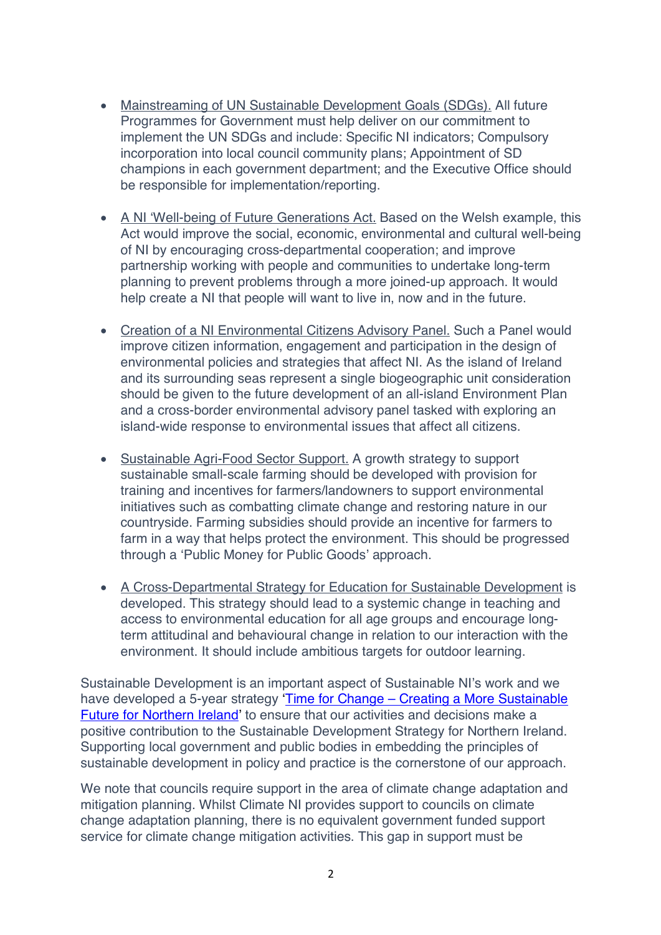- Mainstreaming of UN Sustainable Development Goals (SDGs). All future Programmes for Government must help deliver on our commitment to implement the UN SDGs and include: Specific NI indicators; Compulsory incorporation into local council community plans; Appointment of SD champions in each government department; and the Executive Office should be responsible for implementation/reporting.
- A NI 'Well-being of Future Generations Act. Based on the Welsh example, this Act would improve the social, economic, environmental and cultural well-being of NI by encouraging cross-departmental cooperation; and improve partnership working with people and communities to undertake long-term planning to prevent problems through a more joined-up approach. It would help create a NI that people will want to live in, now and in the future.
- Creation of a NI Environmental Citizens Advisory Panel. Such a Panel would improve citizen information, engagement and participation in the design of environmental policies and strategies that affect NI. As the island of Ireland and its surrounding seas represent a single biogeographic unit consideration should be given to the future development of an all-island Environment Plan and a cross-border environmental advisory panel tasked with exploring an island-wide response to environmental issues that affect all citizens.
- Sustainable Agri-Food Sector Support. A growth strategy to support sustainable small-scale farming should be developed with provision for training and incentives for farmers/landowners to support environmental initiatives such as combatting climate change and restoring nature in our countryside. Farming subsidies should provide an incentive for farmers to farm in a way that helps protect the environment. This should be progressed through a 'Public Money for Public Goods' approach.
- A Cross-Departmental Strategy for Education for Sustainable Development is developed. This strategy should lead to a systemic change in teaching and access to environmental education for all age groups and encourage longterm attitudinal and behavioural change in relation to our interaction with the environment. It should include ambitious targets for outdoor learning.

Sustainable Development is an important aspect of Sustainable NI's work and we have developed a 5-year strategy 'Time for Change - Creating a More Sustainable Future for Northern Ireland' to ensure that our activities and decisions make a positive contribution to the Sustainable Development Strategy for Northern Ireland. Supporting local government and public bodies in embedding the principles of sustainable development in policy and practice is the cornerstone of our approach.

We note that councils require support in the area of climate change adaptation and mitigation planning. Whilst Climate NI provides support to councils on climate change adaptation planning, there is no equivalent government funded support service for climate change mitigation activities. This gap in support must be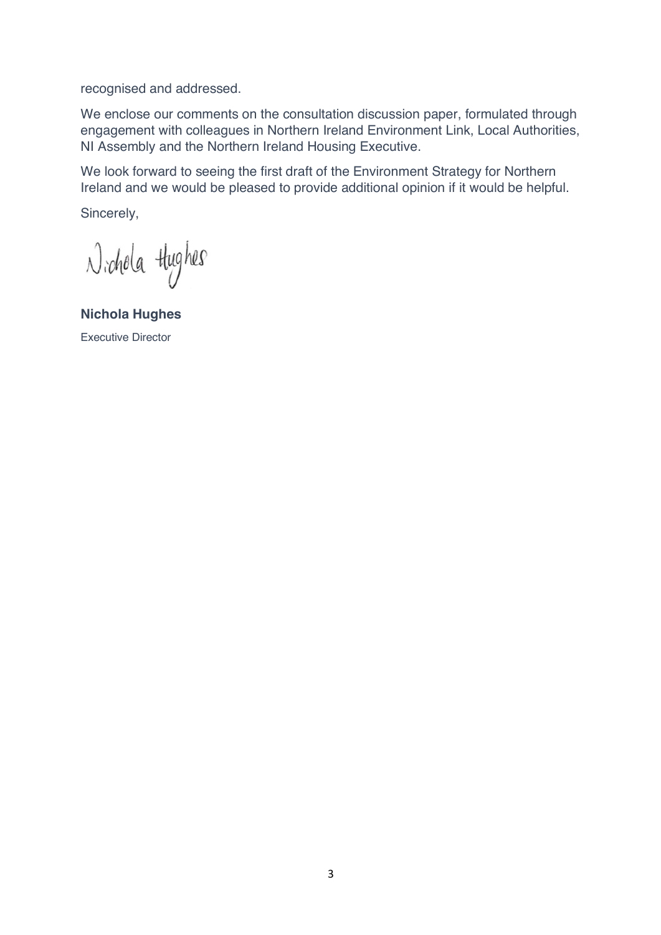recognised and addressed.

We enclose our comments on the consultation discussion paper, formulated through engagement with colleagues in Northern Ireland Environment Link, Local Authorities, NI Assembly and the Northern Ireland Housing Executive.

We look forward to seeing the first draft of the Environment Strategy for Northern Ireland and we would be pleased to provide additional opinion if it would be helpful.

Sincerely,

Nichola thighes

**Nichola Hughes** Executive Director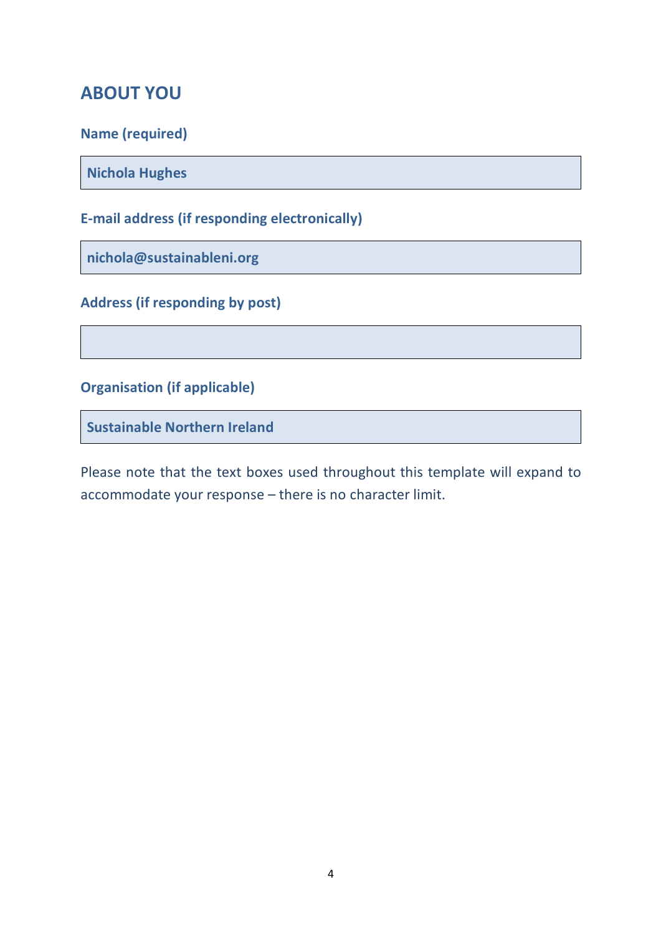# **ABOUT YOU**

**Name (required)**

**Nichola Hughes**

# **E-mail address (if responding electronically)**

**nichola@sustainableni.org**

# **Address (if responding by post)**

**Organisation (if applicable)**

**Sustainable Northern Ireland**

Please note that the text boxes used throughout this template will expand to accommodate your response – there is no character limit.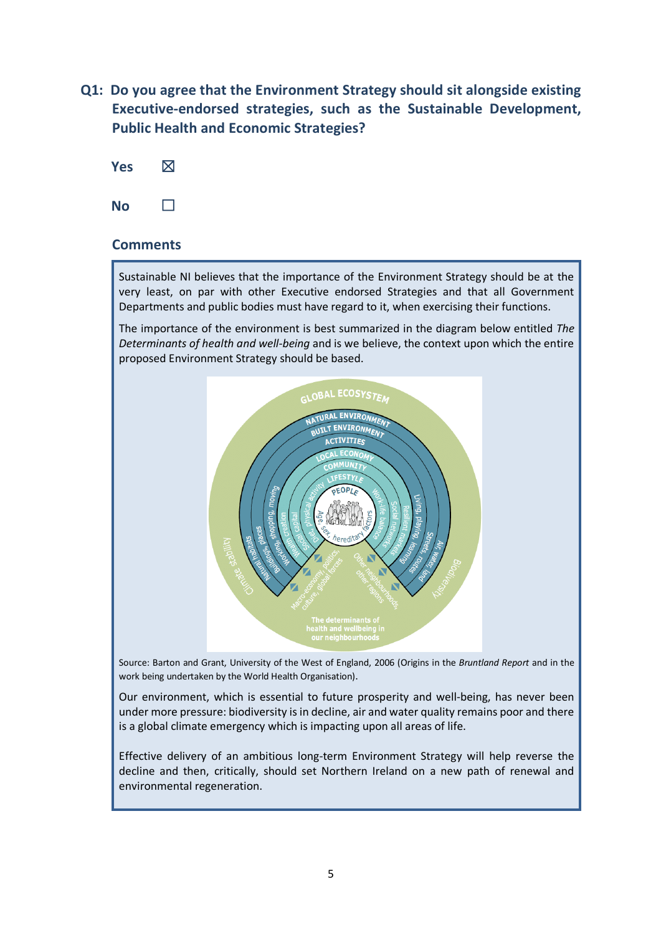**Q1: Do you agree that the Environment Strategy should sit alongside existing Executive-endorsed strategies, such as the Sustainable Development, Public Health and Economic Strategies?**



#### **Comments**

Sustainable NI believes that the importance of the Environment Strategy should be at the very least, on par with other Executive endorsed Strategies and that all Government Departments and public bodies must have regard to it, when exercising their functions.

The importance of the environment is best summarized in the diagram below entitled *The Determinants of health and well-being* and is we believe, the context upon which the entire proposed Environment Strategy should be based.



Source: Barton and Grant, University of the West of England, 2006 (Origins in the *Bruntland Report* and in the work being undertaken by the World Health Organisation).

Our environment, which is essential to future prosperity and well-being, has never been under more pressure: biodiversity is in decline, air and water quality remains poor and there is a global climate emergency which is impacting upon all areas of life.

Effective delivery of an ambitious long-term Environment Strategy will help reverse the decline and then, critically, should set Northern Ireland on a new path of renewal and environmental regeneration.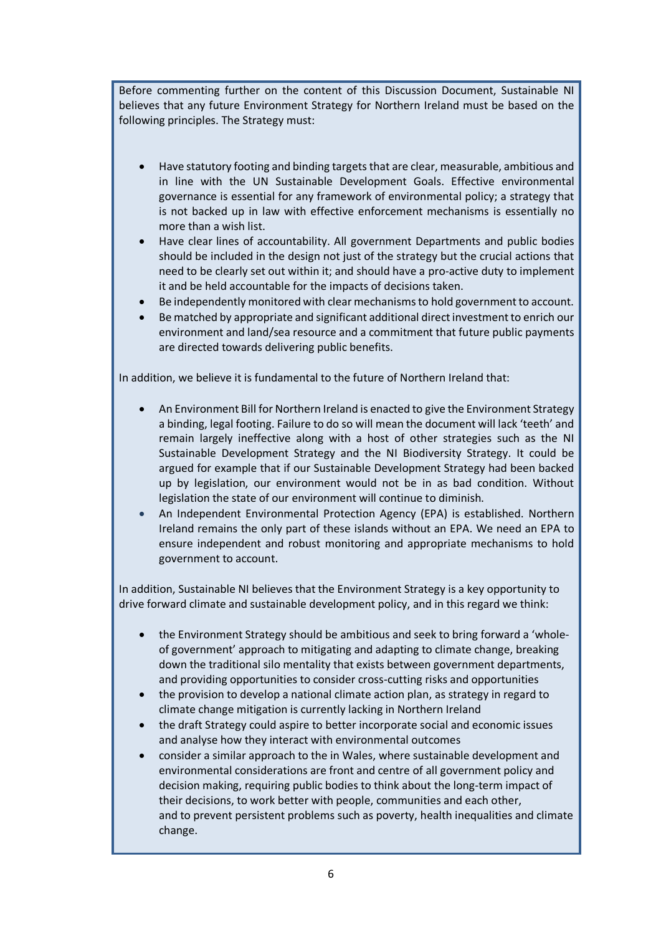Before commenting further on the content of this Discussion Document, Sustainable NI believes that any future Environment Strategy for Northern Ireland must be based on the following principles. The Strategy must:

- Have statutory footing and binding targets that are clear, measurable, ambitious and in line with the UN Sustainable Development Goals. Effective environmental governance is essential for any framework of environmental policy; a strategy that is not backed up in law with effective enforcement mechanisms is essentially no more than a wish list.
- Have clear lines of accountability. All government Departments and public bodies should be included in the design not just of the strategy but the crucial actions that need to be clearly set out within it; and should have a pro-active duty to implement it and be held accountable for the impacts of decisions taken.
- Be independently monitored with clear mechanisms to hold government to account.
- Be matched by appropriate and significant additional direct investment to enrich our environment and land/sea resource and a commitment that future public payments are directed towards delivering public benefits.

In addition, we believe it is fundamental to the future of Northern Ireland that:

- An Environment Bill for Northern Ireland is enacted to give the Environment Strategy a binding, legal footing. Failure to do so will mean the document will lack 'teeth' and remain largely ineffective along with a host of other strategies such as the NI Sustainable Development Strategy and the NI Biodiversity Strategy. It could be argued for example that if our Sustainable Development Strategy had been backed up by legislation, our environment would not be in as bad condition. Without legislation the state of our environment will continue to diminish.
- An Independent Environmental Protection Agency (EPA) is established. Northern Ireland remains the only part of these islands without an EPA. We need an EPA to ensure independent and robust monitoring and appropriate mechanisms to hold government to account.

In addition, Sustainable NI believes that the Environment Strategy is a key opportunity to drive forward climate and sustainable development policy, and in this regard we think:

- the Environment Strategy should be ambitious and seek to bring forward a 'wholeof government' approach to mitigating and adapting to climate change, breaking down the traditional silo mentality that exists between government departments, and providing opportunities to consider cross-cutting risks and opportunities
- the provision to develop a national climate action plan, as strategy in regard to climate change mitigation is currently lacking in Northern Ireland
- the draft Strategy could aspire to better incorporate social and economic issues and analyse how they interact with environmental outcomes
- consider a similar approach to the in Wales, where sustainable development and environmental considerations are front and centre of all government policy and decision making, requiring public bodies to think about the long-term impact of their decisions, to work better with people, communities and each other, and to prevent persistent problems such as poverty, health inequalities and climate change.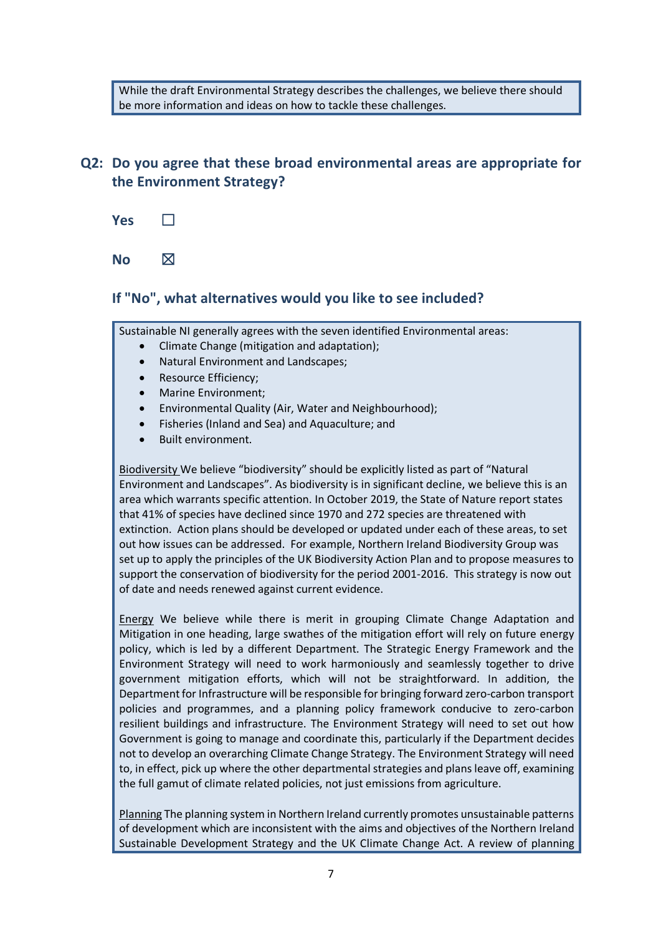While the draft Environmental Strategy describes the challenges, we believe there should be more information and ideas on how to tackle these challenges.

# **Q2: Do you agree that these broad environmental areas are appropriate for the Environment Strategy?**

**Yes** □

**No**  $\boxtimes$ 

#### **If "No", what alternatives would you like to see included?**

Sustainable NI generally agrees with the seven identified Environmental areas:

- Climate Change (mitigation and adaptation);
- Natural Environment and Landscapes;
- Resource Efficiency;
- Marine Environment;
- Environmental Quality (Air, Water and Neighbourhood);
- Fisheries (Inland and Sea) and Aquaculture; and
- Built environment.

Biodiversity We believe "biodiversity" should be explicitly listed as part of "Natural Environment and Landscapes". As biodiversity is in significant decline, we believe this is an area which warrants specific attention. In October 2019, the State of Nature report states that 41% of species have declined since 1970 and 272 species are threatened with extinction. Action plans should be developed or updated under each of these areas, to set out how issues can be addressed. For example, Northern Ireland Biodiversity Group was set up to apply the principles of the UK Biodiversity Action Plan and to propose measures to support the conservation of biodiversity for the period 2001-2016. This strategy is now out of date and needs renewed against current evidence.

Energy We believe while there is merit in grouping Climate Change Adaptation and Mitigation in one heading, large swathes of the mitigation effort will rely on future energy policy, which is led by a different Department. The Strategic Energy Framework and the Environment Strategy will need to work harmoniously and seamlessly together to drive government mitigation efforts, which will not be straightforward. In addition, the Department for Infrastructure will be responsible for bringing forward zero-carbon transport policies and programmes, and a planning policy framework conducive to zero-carbon resilient buildings and infrastructure. The Environment Strategy will need to set out how Government is going to manage and coordinate this, particularly if the Department decides not to develop an overarching Climate Change Strategy. The Environment Strategy will need to, in effect, pick up where the other departmental strategies and plans leave off, examining the full gamut of climate related policies, not just emissions from agriculture.

Planning The planning system in Northern Ireland currently promotes unsustainable patterns of development which are inconsistent with the aims and objectives of the Northern Ireland Sustainable Development Strategy and the UK Climate Change Act. A review of planning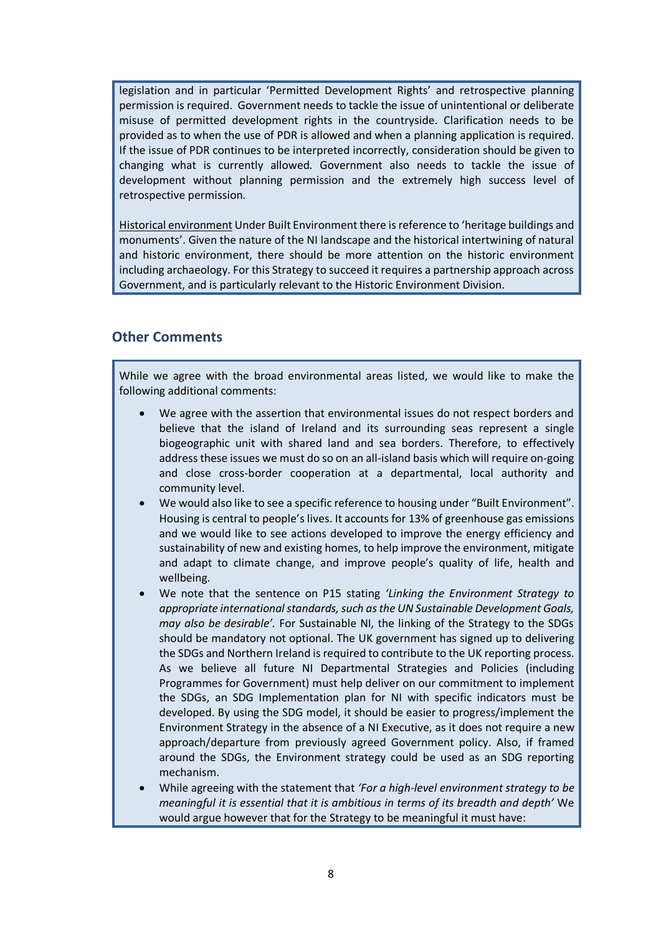legislation and in particular 'Permitted Development Rights' and retrospective planning permission is required. Government needs to tackle the issue of unintentional or deliberate misuse of permitted development rights in the countryside. Clarification needs to be provided as to when the use of PDR is allowed and when a planning application is required. If the issue of PDR continues to be interpreted incorrectly, consideration should be given to changing what is currently allowed. Government also needs to tackle the issue of development without planning permission and the extremely high success level of retrospective permission.

Historical environment Under Built Environment there is reference to 'heritage buildings and monuments'. Given the nature of the NI landscape and the historical intertwining of natural and historic environment, there should be more attention on the historic environment including archaeology. For this Strategy to succeed it requires a partnership approach across Government, and is particularly relevant to the Historic Environment Division.

#### **Other Comments**

While we agree with the broad environmental areas listed, we would like to make the following additional comments:

- We agree with the assertion that environmental issues do not respect borders and believe that the island of Ireland and its surrounding seas represent a single biogeographic unit with shared land and sea borders. Therefore, to effectively address these issues we must do so on an all-island basis which will require on-going and close cross-border cooperation at a departmental, local authority and community level.
- We would also like to see a specific reference to housing under "Built Environment". Housing is central to people's lives. It accounts for 13% of greenhouse gas emissions and we would like to see actions developed to improve the energy efficiency and sustainability of new and existing homes, to help improve the environment, mitigate and adapt to climate change, and improve people's quality of life, health and wellbeing.
- We note that the sentence on P15 stating *'Linking the Environment Strategy to appropriate international standards, such as the UN Sustainable Development Goals, may also be desirable'.* For Sustainable NI, the linking of the Strategy to the SDGs should be mandatory not optional. The UK government has signed up to delivering the SDGs and Northern Ireland is required to contribute to the UK reporting process. As we believe all future NI Departmental Strategies and Policies (including Programmes for Government) must help deliver on our commitment to implement the SDGs, an SDG Implementation plan for NI with specific indicators must be developed. By using the SDG model, it should be easier to progress/implement the Environment Strategy in the absence of a NI Executive, as it does not require a new approach/departure from previously agreed Government policy. Also, if framed around the SDGs, the Environment strategy could be used as an SDG reporting mechanism.
- While agreeing with the statement that *'For a high-level environment strategy to be meaningful it is essential that it is ambitious in terms of its breadth and depth'* We would argue however that for the Strategy to be meaningful it must have: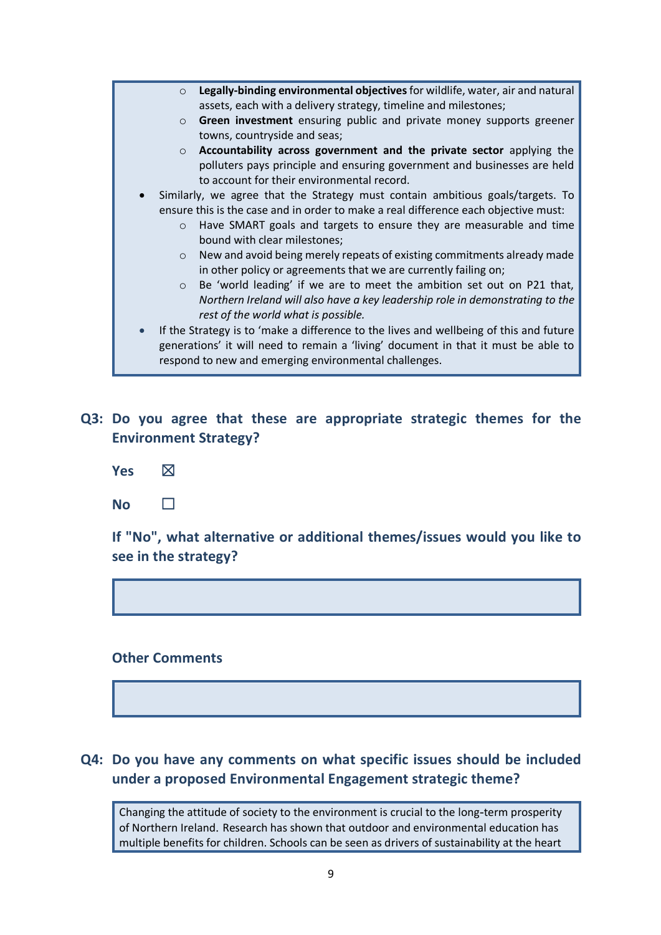- o **Legally-binding environmental objectives** for wildlife, water, air and natural assets, each with a delivery strategy, timeline and milestones;
- o **Green investment** ensuring public and private money supports greener towns, countryside and seas;
- o **Accountability across government and the private sector** applying the polluters pays principle and ensuring government and businesses are held to account for their environmental record.
- Similarly, we agree that the Strategy must contain ambitious goals/targets. To ensure this is the case and in order to make a real difference each objective must:
	- o Have SMART goals and targets to ensure they are measurable and time bound with clear milestones;
	- o New and avoid being merely repeats of existing commitments already made in other policy or agreements that we are currently failing on;
	- o Be 'world leading' if we are to meet the ambition set out on P21 that, *Northern Ireland will also have a key leadership role in demonstrating to the rest of the world what is possible.*
- If the Strategy is to 'make a difference to the lives and wellbeing of this and future generations' it will need to remain a 'living' document in that it must be able to respond to new and emerging environmental challenges.
- **Q3: Do you agree that these are appropriate strategic themes for the Environment Strategy?**
	- **Yes** ☒
	- **No** □

**If "No", what alternative or additional themes/issues would you like to see in the strategy?**

#### **Other Comments**

#### **Q4: Do you have any comments on what specific issues should be included under a proposed Environmental Engagement strategic theme?**

Changing the attitude of society to the environment is crucial to the long-term prosperity of Northern Ireland. Research has shown that outdoor and environmental education has multiple benefits for children. Schools can be seen as drivers of sustainability at the heart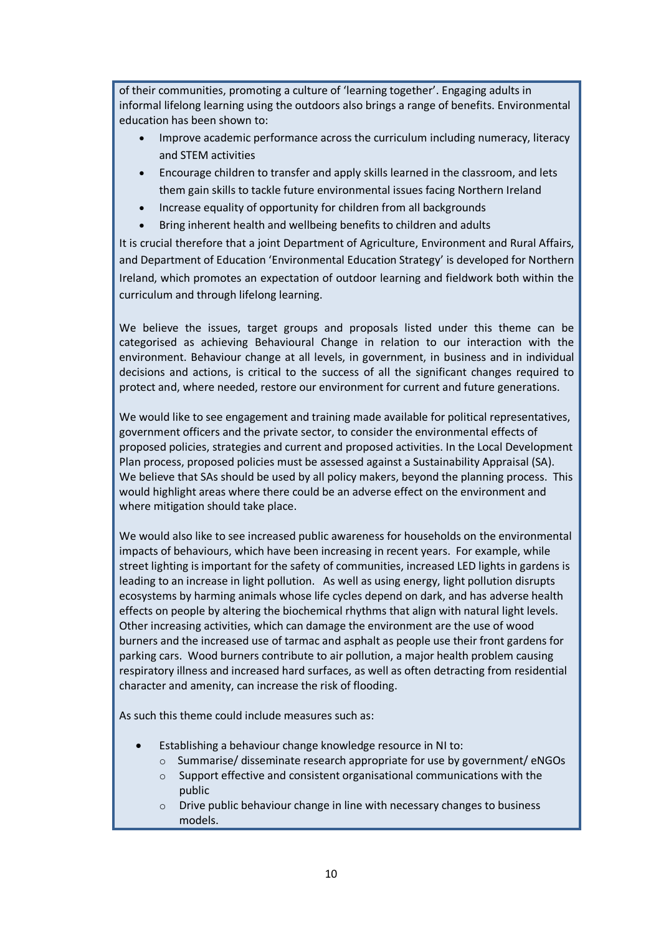of their communities, promoting a culture of 'learning together'. Engaging adults in informal lifelong learning using the outdoors also brings a range of benefits. Environmental education has been shown to:

- Improve academic performance across the curriculum including numeracy, literacy and STEM activities
- Encourage children to transfer and apply skills learned in the classroom, and lets them gain skills to tackle future environmental issues facing Northern Ireland
- Increase equality of opportunity for children from all backgrounds
- Bring inherent health and wellbeing benefits to children and adults

It is crucial therefore that a joint Department of Agriculture, Environment and Rural Affairs, and Department of Education 'Environmental Education Strategy' is developed for Northern Ireland, which promotes an expectation of outdoor learning and fieldwork both within the curriculum and through lifelong learning.

We believe the issues, target groups and proposals listed under this theme can be categorised as achieving Behavioural Change in relation to our interaction with the environment. Behaviour change at all levels, in government, in business and in individual decisions and actions, is critical to the success of all the significant changes required to protect and, where needed, restore our environment for current and future generations.

We would like to see engagement and training made available for political representatives, government officers and the private sector, to consider the environmental effects of proposed policies, strategies and current and proposed activities. In the Local Development Plan process, proposed policies must be assessed against a Sustainability Appraisal (SA). We believe that SAs should be used by all policy makers, beyond the planning process. This would highlight areas where there could be an adverse effect on the environment and where mitigation should take place.

We would also like to see increased public awareness for households on the environmental impacts of behaviours, which have been increasing in recent years. For example, while street lighting is important for the safety of communities, increased LED lights in gardens is leading to an increase in light pollution. As well as using energy, light pollution disrupts ecosystems by harming animals whose life cycles depend on dark, and has adverse health effects on people by altering the biochemical rhythms that align with natural light levels. Other increasing activities, which can damage the environment are the use of wood burners and the increased use of tarmac and asphalt as people use their front gardens for parking cars. Wood burners contribute to air pollution, a major health problem causing respiratory illness and increased hard surfaces, as well as often detracting from residential character and amenity, can increase the risk of flooding.

As such this theme could include measures such as:

- Establishing a behaviour change knowledge resource in NI to:
	- $\circ$  Summarise/ disseminate research appropriate for use by government/ eNGOs
	- o Support effective and consistent organisational communications with the public
	- o Drive public behaviour change in line with necessary changes to business models.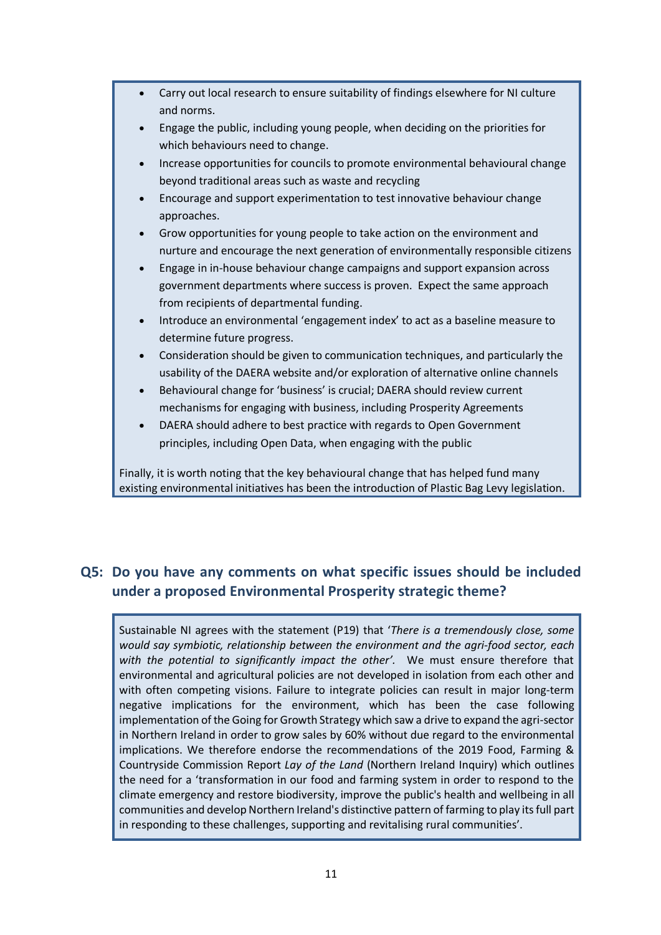• Carry out local research to ensure suitability of findings elsewhere for NI culture and norms. • Engage the public, including young people, when deciding on the priorities for which behaviours need to change. • Increase opportunities for councils to promote environmental behavioural change beyond traditional areas such as waste and recycling • Encourage and support experimentation to test innovative behaviour change approaches. • Grow opportunities for young people to take action on the environment and nurture and encourage the next generation of environmentally responsible citizens • Engage in in-house behaviour change campaigns and support expansion across government departments where success is proven. Expect the same approach from recipients of departmental funding. • Introduce an environmental 'engagement index' to act as a baseline measure to determine future progress. • Consideration should be given to communication techniques, and particularly the usability of the DAERA website and/or exploration of alternative online channels • Behavioural change for 'business' is crucial; DAERA should review current mechanisms for engaging with business, including Prosperity Agreements • DAERA should adhere to best practice with regards to Open Government principles, including Open Data, when engaging with the public

Finally, it is worth noting that the key behavioural change that has helped fund many existing environmental initiatives has been the introduction of Plastic Bag Levy legislation.

# **Q5: Do you have any comments on what specific issues should be included under a proposed Environmental Prosperity strategic theme?**

Sustainable NI agrees with the statement (P19) that '*There is a tremendously close, some would say symbiotic, relationship between the environment and the agri-food sector, each with the potential to significantly impact the other'.* We must ensure therefore that environmental and agricultural policies are not developed in isolation from each other and with often competing visions. Failure to integrate policies can result in major long-term negative implications for the environment, which has been the case following implementation of the Going for Growth Strategy which saw a drive to expand the agri-sector in Northern Ireland in order to grow sales by 60% without due regard to the environmental implications. We therefore endorse the recommendations of the 2019 Food, Farming & Countryside Commission Report *Lay of the Land* (Northern Ireland Inquiry) which outlines the need for a 'transformation in our food and farming system in order to respond to the climate emergency and restore biodiversity, improve the public's health and wellbeing in all communities and develop Northern Ireland's distinctive pattern of farming to play its full part in responding to these challenges, supporting and revitalising rural communities'.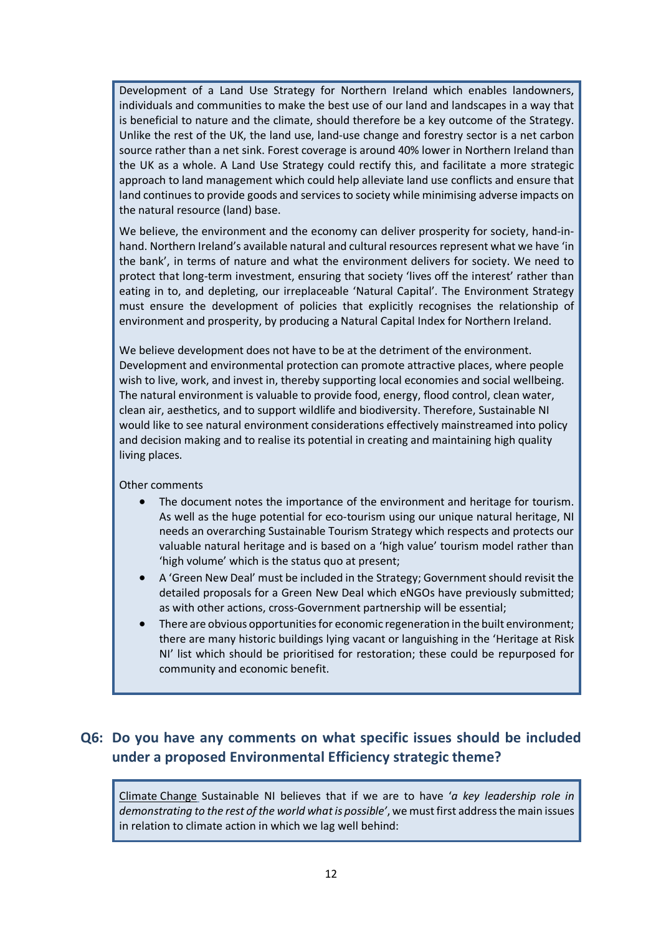Development of a Land Use Strategy for Northern Ireland which enables landowners, individuals and communities to make the best use of our land and landscapes in a way that is beneficial to nature and the climate, should therefore be a key outcome of the Strategy. Unlike the rest of the UK, the land use, land-use change and forestry sector is a net carbon source rather than a net sink. Forest coverage is around 40% lower in Northern Ireland than the UK as a whole. A Land Use Strategy could rectify this, and facilitate a more strategic approach to land management which could help alleviate land use conflicts and ensure that land continues to provide goods and services to society while minimising adverse impacts on the natural resource (land) base.

We believe, the environment and the economy can deliver prosperity for society, hand-inhand. Northern Ireland's available natural and cultural resources represent what we have 'in the bank', in terms of nature and what the environment delivers for society. We need to protect that long-term investment, ensuring that society 'lives off the interest' rather than eating in to, and depleting, our irreplaceable 'Natural Capital'. The Environment Strategy must ensure the development of policies that explicitly recognises the relationship of environment and prosperity, by producing a Natural Capital Index for Northern Ireland.

We believe development does not have to be at the detriment of the environment. Development and environmental protection can promote attractive places, where people wish to live, work, and invest in, thereby supporting local economies and social wellbeing. The natural environment is valuable to provide food, energy, flood control, clean water, clean air, aesthetics, and to support wildlife and biodiversity. Therefore, Sustainable NI would like to see natural environment considerations effectively mainstreamed into policy and decision making and to realise its potential in creating and maintaining high quality living places.

Other comments

- The document notes the importance of the environment and heritage for tourism. As well as the huge potential for eco-tourism using our unique natural heritage, NI needs an overarching Sustainable Tourism Strategy which respects and protects our valuable natural heritage and is based on a 'high value' tourism model rather than 'high volume' which is the status quo at present;
- A 'Green New Deal' must be included in the Strategy; Government should revisit the detailed proposals for a Green New Deal which eNGOs have previously submitted; as with other actions, cross-Government partnership will be essential;
- There are obvious opportunities for economic regeneration in the built environment; there are many historic buildings lying vacant or languishing in the 'Heritage at Risk NI' list which should be prioritised for restoration; these could be repurposed for community and economic benefit.

# **Q6: Do you have any comments on what specific issues should be included under a proposed Environmental Efficiency strategic theme?**

Climate Change Sustainable NI believes that if we are to have '*a key leadership role in demonstrating to the rest of the world what is possible'*, we must first address the main issues in relation to climate action in which we lag well behind: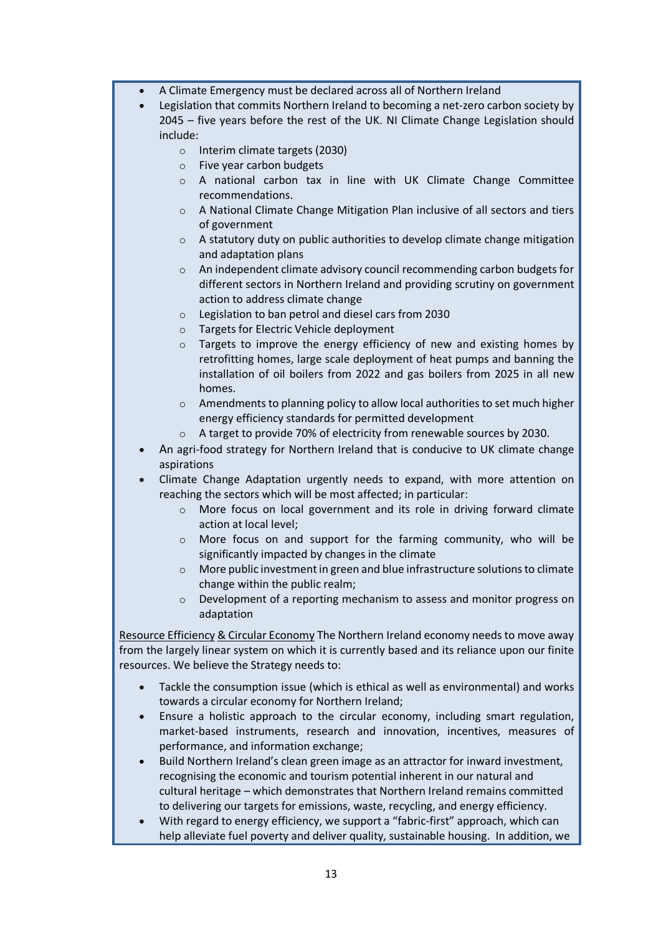- A Climate Emergency must be declared across all of Northern Ireland
- Legislation that commits Northern Ireland to becoming a net-zero carbon society by 2045 – five years before the rest of the UK. NI Climate Change Legislation should include:
	- o Interim climate targets (2030)
	- o Five year carbon budgets
	- o A national carbon tax in line with UK Climate Change Committee recommendations.
	- o A National Climate Change Mitigation Plan inclusive of all sectors and tiers of government
	- $\circ$  A statutory duty on public authorities to develop climate change mitigation and adaptation plans
	- o An independent climate advisory council recommending carbon budgets for different sectors in Northern Ireland and providing scrutiny on government action to address climate change
	- o Legislation to ban petrol and diesel cars from 2030
	- o Targets for Electric Vehicle deployment
	- o Targets to improve the energy efficiency of new and existing homes by retrofitting homes, large scale deployment of heat pumps and banning the installation of oil boilers from 2022 and gas boilers from 2025 in all new homes.
	- $\circ$  Amendments to planning policy to allow local authorities to set much higher energy efficiency standards for permitted development
	- o A target to provide 70% of electricity from renewable sources by 2030.
- An agri-food strategy for Northern Ireland that is conducive to UK climate change aspirations
- Climate Change Adaptation urgently needs to expand, with more attention on reaching the sectors which will be most affected; in particular:
	- o More focus on local government and its role in driving forward climate action at local level;
	- o More focus on and support for the farming community, who will be significantly impacted by changes in the climate
	- o More public investment in green and blue infrastructure solutions to climate change within the public realm;
	- o Development of a reporting mechanism to assess and monitor progress on adaptation

Resource Efficiency & Circular Economy The Northern Ireland economy needs to move away from the largely linear system on which it is currently based and its reliance upon our finite resources. We believe the Strategy needs to:

- Tackle the consumption issue (which is ethical as well as environmental) and works towards a circular economy for Northern Ireland;
- Ensure a holistic approach to the circular economy, including smart regulation, market-based instruments, research and innovation, incentives, measures of performance, and information exchange;
- Build Northern Ireland's clean green image as an attractor for inward investment, recognising the economic and tourism potential inherent in our natural and cultural heritage – which demonstrates that Northern Ireland remains committed to delivering our targets for emissions, waste, recycling, and energy efficiency.
- With regard to energy efficiency, we support a "fabric-first" approach, which can help alleviate fuel poverty and deliver quality, sustainable housing. In addition, we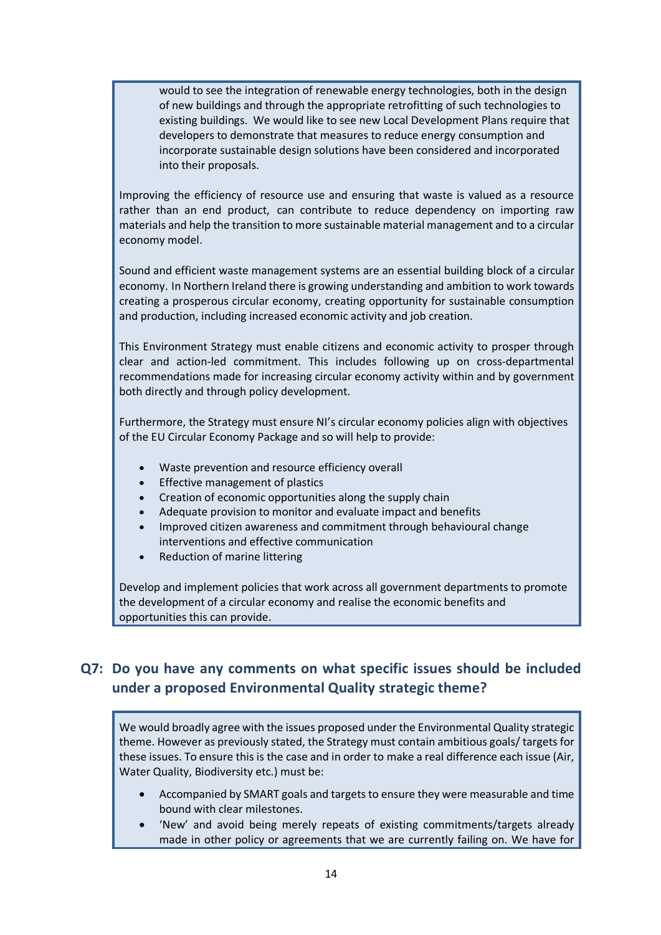would to see the integration of renewable energy technologies, both in the design of new buildings and through the appropriate retrofitting of such technologies to existing buildings. We would like to see new Local Development Plans require that developers to demonstrate that measures to reduce energy consumption and incorporate sustainable design solutions have been considered and incorporated into their proposals.

Improving the efficiency of resource use and ensuring that waste is valued as a resource rather than an end product, can contribute to reduce dependency on importing raw materials and help the transition to more sustainable material management and to a circular economy model.

Sound and efficient waste management systems are an essential building block of a circular economy. In Northern Ireland there is growing understanding and ambition to work towards creating a prosperous circular economy, creating opportunity for sustainable consumption and production, including increased economic activity and job creation.

This Environment Strategy must enable citizens and economic activity to prosper through clear and action-led commitment. This includes following up on cross-departmental recommendations made for increasing circular economy activity within and by government both directly and through policy development.

Furthermore, the Strategy must ensure NI's circular economy policies align with objectives of the EU Circular Economy Package and so will help to provide:

- Waste prevention and resource efficiency overall
- Effective management of plastics
- Creation of economic opportunities along the supply chain
- Adequate provision to monitor and evaluate impact and benefits
- Improved citizen awareness and commitment through behavioural change interventions and effective communication
- Reduction of marine littering

Develop and implement policies that work across all government departments to promote the development of a circular economy and realise the economic benefits and opportunities this can provide.

# **Q7: Do you have any comments on what specific issues should be included under a proposed Environmental Quality strategic theme?**

We would broadly agree with the issues proposed under the Environmental Quality strategic theme. However as previously stated, the Strategy must contain ambitious goals/ targets for these issues. To ensure this is the case and in order to make a real difference each issue (Air, Water Quality, Biodiversity etc.) must be:

- Accompanied by SMART goals and targets to ensure they were measurable and time bound with clear milestones.
- 'New' and avoid being merely repeats of existing commitments/targets already made in other policy or agreements that we are currently failing on. We have for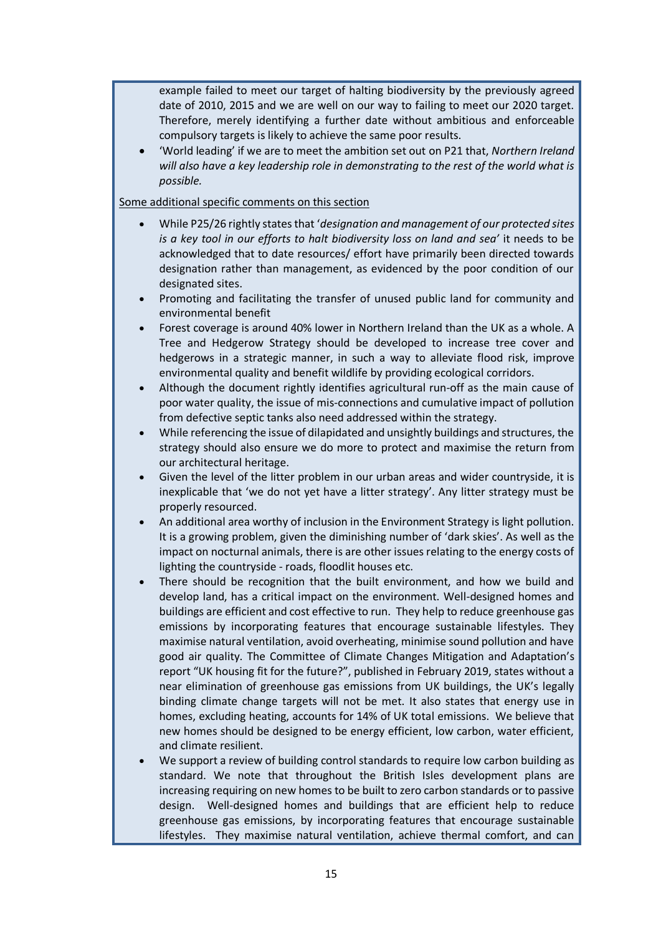example failed to meet our target of halting biodiversity by the previously agreed date of 2010, 2015 and we are well on our way to failing to meet our 2020 target. Therefore, merely identifying a further date without ambitious and enforceable compulsory targets is likely to achieve the same poor results.

• 'World leading' if we are to meet the ambition set out on P21 that, *Northern Ireland will also have a key leadership role in demonstrating to the rest of the world what is possible.*

#### Some additional specific comments on this section

- While P25/26 rightly states that '*designation and management of our protected sites is a key tool in our efforts to halt biodiversity loss on land and sea'* it needs to be acknowledged that to date resources/ effort have primarily been directed towards designation rather than management, as evidenced by the poor condition of our designated sites.
- Promoting and facilitating the transfer of unused public land for community and environmental benefit
- Forest coverage is around 40% lower in Northern Ireland than the UK as a whole. A Tree and Hedgerow Strategy should be developed to increase tree cover and hedgerows in a strategic manner, in such a way to alleviate flood risk, improve environmental quality and benefit wildlife by providing ecological corridors.
- Although the document rightly identifies agricultural run-off as the main cause of poor water quality, the issue of mis-connections and cumulative impact of pollution from defective septic tanks also need addressed within the strategy.
- While referencing the issue of dilapidated and unsightly buildings and structures, the strategy should also ensure we do more to protect and maximise the return from our architectural heritage.
- Given the level of the litter problem in our urban areas and wider countryside, it is inexplicable that 'we do not yet have a litter strategy'. Any litter strategy must be properly resourced.
- An additional area worthy of inclusion in the Environment Strategy is light pollution. It is a growing problem, given the diminishing number of 'dark skies'. As well as the impact on nocturnal animals, there is are other issues relating to the energy costs of lighting the countryside - roads, floodlit houses etc.
- There should be recognition that the built environment, and how we build and develop land, has a critical impact on the environment. Well-designed homes and buildings are efficient and cost effective to run. They help to reduce greenhouse gas emissions by incorporating features that encourage sustainable lifestyles. They maximise natural ventilation, avoid overheating, minimise sound pollution and have good air quality. The Committee of Climate Changes Mitigation and Adaptation's report "UK housing fit for the future?", published in February 2019, states without a near elimination of greenhouse gas emissions from UK buildings, the UK's legally binding climate change targets will not be met. It also states that energy use in homes, excluding heating, accounts for 14% of UK total emissions. We believe that new homes should be designed to be energy efficient, low carbon, water efficient, and climate resilient.
- We support a review of building control standards to require low carbon building as standard. We note that throughout the British Isles development plans are increasing requiring on new homes to be built to zero carbon standards or to passive design. Well-designed homes and buildings that are efficient help to reduce greenhouse gas emissions, by incorporating features that encourage sustainable lifestyles. They maximise natural ventilation, achieve thermal comfort, and can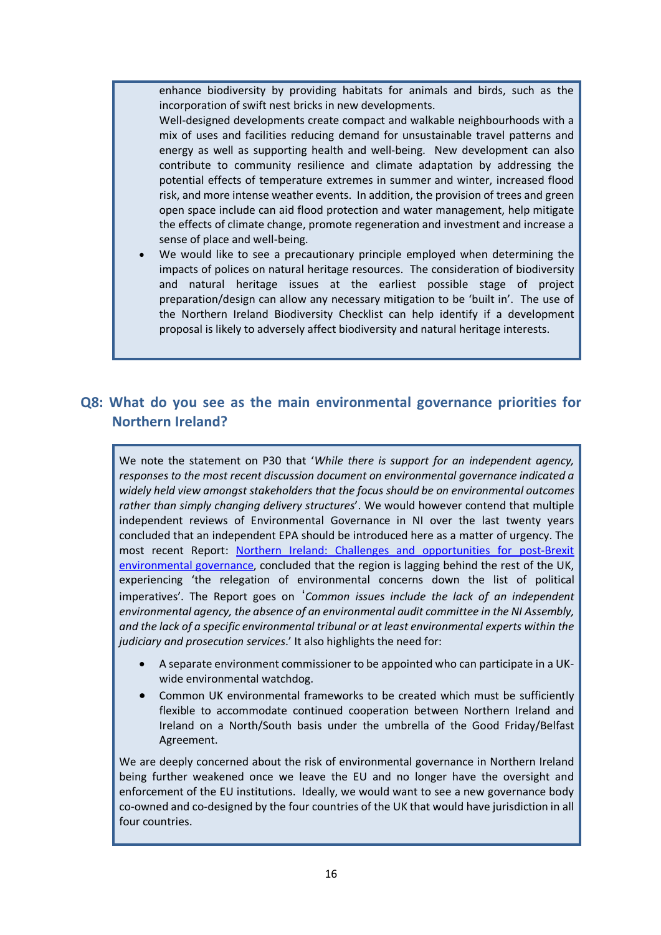enhance biodiversity by providing habitats for animals and birds, such as the incorporation of swift nest bricks in new developments.

Well-designed developments create compact and walkable neighbourhoods with a mix of uses and facilities reducing demand for unsustainable travel patterns and energy as well as supporting health and well-being. New development can also contribute to community resilience and climate adaptation by addressing the potential effects of temperature extremes in summer and winter, increased flood risk, and more intense weather events. In addition, the provision of trees and green open space include can aid flood protection and water management, help mitigate the effects of climate change, promote regeneration and investment and increase a sense of place and well-being.

We would like to see a precautionary principle employed when determining the impacts of polices on natural heritage resources. The consideration of biodiversity and natural heritage issues at the earliest possible stage of project preparation/design can allow any necessary mitigation to be 'built in'. The use of the Northern Ireland Biodiversity Checklist can help identify if a development proposal is likely to adversely affect biodiversity and natural heritage interests.

### **Q8: What do you see as the main environmental governance priorities for Northern Ireland?**

We note the statement on P30 that '*While there is support for an independent agency, responses to the most recent discussion document on environmental governance indicated a widely held view amongst stakeholders that the focus should be on environmental outcomes rather than simply changing delivery structures*'. We would however contend that multiple independent reviews of Environmental Governance in NI over the last twenty years concluded that an independent EPA should be introduced here as a matter of urgency. The most recent Report: Northern Ireland: Challenges and opportunities for post-Brexit environmental governance, concluded that the region is lagging behind the rest of the UK, experiencing 'the relegation of environmental concerns down the list of political imperatives'. The Report goes on '*Common issues include the lack of an independent environmental agency, the absence of an environmental audit committee in the NI Assembly, and the lack of a specific environmental tribunal or at least environmental experts within the judiciary and prosecution services*.' It also highlights the need for:

- A separate environment commissioner to be appointed who can participate in a UKwide environmental watchdog.
- Common UK environmental frameworks to be created which must be sufficiently flexible to accommodate continued cooperation between Northern Ireland and Ireland on a North/South basis under the umbrella of the Good Friday/Belfast Agreement.

We are deeply concerned about the risk of environmental governance in Northern Ireland being further weakened once we leave the EU and no longer have the oversight and enforcement of the EU institutions. Ideally, we would want to see a new governance body co-owned and co-designed by the four countries of the UK that would have jurisdiction in all four countries.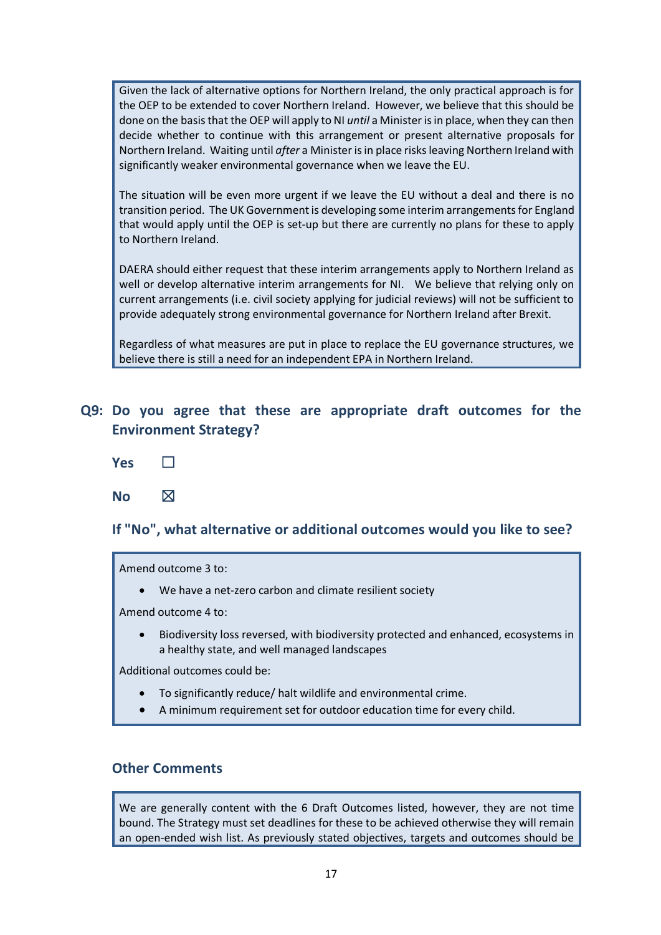Given the lack of alternative options for Northern Ireland, the only practical approach is for the OEP to be extended to cover Northern Ireland. However, we believe that this should be done on the basis that the OEP will apply to NI *until* a Minister is in place, when they can then decide whether to continue with this arrangement or present alternative proposals for Northern Ireland. Waiting until *after* a Minister is in place risks leaving Northern Ireland with significantly weaker environmental governance when we leave the EU.

The situation will be even more urgent if we leave the EU without a deal and there is no transition period. The UK Government is developing some interim arrangements for England that would apply until the OEP is set-up but there are currently no plans for these to apply to Northern Ireland.

DAERA should either request that these interim arrangements apply to Northern Ireland as well or develop alternative interim arrangements for NI. We believe that relying only on current arrangements (i.e. civil society applying for judicial reviews) will not be sufficient to provide adequately strong environmental governance for Northern Ireland after Brexit.

Regardless of what measures are put in place to replace the EU governance structures, we believe there is still a need for an independent EPA in Northern Ireland.

## **Q9: Do you agree that these are appropriate draft outcomes for the Environment Strategy?**

- **Yes** □
- No  $\boxtimes$

#### **If "No", what alternative or additional outcomes would you like to see?**

Amend outcome 3 to:

• We have a net-zero carbon and climate resilient society

Amend outcome 4 to:

• Biodiversity loss reversed, with biodiversity protected and enhanced, ecosystems in a healthy state, and well managed landscapes

Additional outcomes could be:

- To significantly reduce/ halt wildlife and environmental crime.
- A minimum requirement set for outdoor education time for every child.

#### **Other Comments**

We are generally content with the 6 Draft Outcomes listed, however, they are not time bound. The Strategy must set deadlines for these to be achieved otherwise they will remain an open-ended wish list. As previously stated objectives, targets and outcomes should be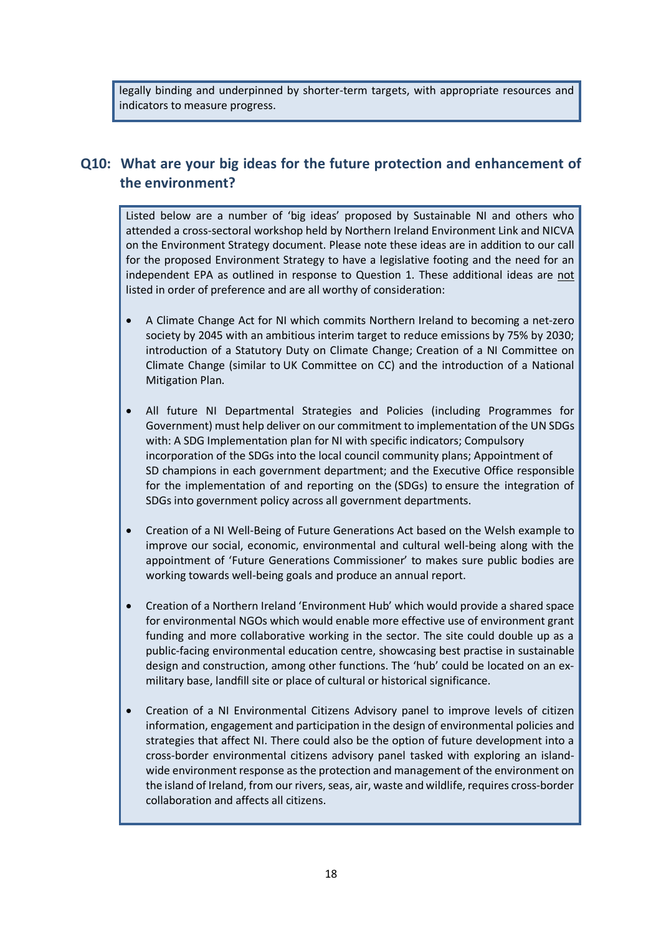legally binding and underpinned by shorter-term targets, with appropriate resources and indicators to measure progress.

# **Q10: What are your big ideas for the future protection and enhancement of the environment?**

Listed below are a number of 'big ideas' proposed by Sustainable NI and others who attended a cross-sectoral workshop held by Northern Ireland Environment Link and NICVA on the Environment Strategy document. Please note these ideas are in addition to our call for the proposed Environment Strategy to have a legislative footing and the need for an independent EPA as outlined in response to Question 1. These additional ideas are not listed in order of preference and are all worthy of consideration:

- A Climate Change Act for NI which commits Northern Ireland to becoming a net-zero society by 2045 with an ambitious interim target to reduce emissions by 75% by 2030; introduction of a Statutory Duty on Climate Change; Creation of a NI Committee on Climate Change (similar to UK Committee on CC) and the introduction of a National Mitigation Plan.
- All future NI Departmental Strategies and Policies (including Programmes for Government) must help deliver on our commitment to implementation of the UN SDGs with: A SDG Implementation plan for NI with specific indicators; Compulsory incorporation of the SDGs into the local council community plans; Appointment of SD champions in each government department; and the Executive Office responsible for the implementation of and reporting on the (SDGs) to ensure the integration of SDGs into government policy across all government departments.
- Creation of a NI Well-Being of Future Generations Act based on the Welsh example to improve our social, economic, environmental and cultural well-being along with the appointment of 'Future Generations Commissioner' to makes sure public bodies are working towards well-being goals and produce an annual report.
- Creation of a Northern Ireland 'Environment Hub' which would provide a shared space for environmental NGOs which would enable more effective use of environment grant funding and more collaborative working in the sector. The site could double up as a public-facing environmental education centre, showcasing best practise in sustainable design and construction, among other functions. The 'hub' could be located on an exmilitary base, landfill site or place of cultural or historical significance.
- Creation of a NI Environmental Citizens Advisory panel to improve levels of citizen information, engagement and participation in the design of environmental policies and strategies that affect NI. There could also be the option of future development into a cross-border environmental citizens advisory panel tasked with exploring an islandwide environment response as the protection and management of the environment on the island of Ireland, from our rivers, seas, air, waste and wildlife, requires cross-border collaboration and affects all citizens.